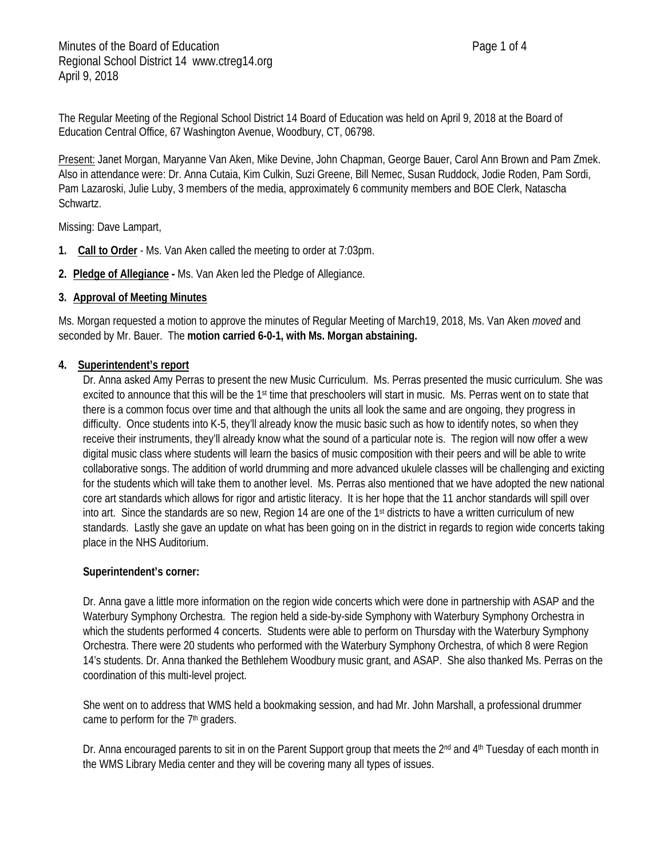The Regular Meeting of the Regional School District 14 Board of Education was held on April 9, 2018 at the Board of Education Central Office, 67 Washington Avenue, Woodbury, CT, 06798.

Present: Janet Morgan, Maryanne Van Aken, Mike Devine, John Chapman, George Bauer, Carol Ann Brown and Pam Zmek. Also in attendance were: Dr. Anna Cutaia, Kim Culkin, Suzi Greene, Bill Nemec, Susan Ruddock, Jodie Roden, Pam Sordi, Pam Lazaroski, Julie Luby, 3 members of the media, approximately 6 community members and BOE Clerk, Natascha Schwartz.

Missing: Dave Lampart,

- **1. Call to Order** Ms. Van Aken called the meeting to order at 7:03pm.
- **2. Pledge of Allegiance -** Ms. Van Aken led the Pledge of Allegiance.

### **3. Approval of Meeting Minutes**

Ms. Morgan requested a motion to approve the minutes of Regular Meeting of March19, 2018, Ms. Van Aken *moved* and seconded by Mr. Bauer. The **motion carried 6-0-1, with Ms. Morgan abstaining.**

#### **4. Superintendent's report**

Dr. Anna asked Amy Perras to present the new Music Curriculum. Ms. Perras presented the music curriculum. She was excited to announce that this will be the 1<sup>st</sup> time that preschoolers will start in music. Ms. Perras went on to state that there is a common focus over time and that although the units all look the same and are ongoing, they progress in difficulty. Once students into K-5, they'll already know the music basic such as how to identify notes, so when they receive their instruments, they'll already know what the sound of a particular note is. The region will now offer a wew digital music class where students will learn the basics of music composition with their peers and will be able to write collaborative songs. The addition of world drumming and more advanced ukulele classes will be challenging and exicting for the students which will take them to another level. Ms. Perras also mentioned that we have adopted the new national core art standards which allows for rigor and artistic literacy. It is her hope that the 11 anchor standards will spill over into art. Since the standards are so new, Region 14 are one of the 1st districts to have a written curriculum of new standards. Lastly she gave an update on what has been going on in the district in regards to region wide concerts taking place in the NHS Auditorium.

#### **Superintendent's corner:**

Dr. Anna gave a little more information on the region wide concerts which were done in partnership with ASAP and the Waterbury Symphony Orchestra. The region held a side-by-side Symphony with Waterbury Symphony Orchestra in which the students performed 4 concerts. Students were able to perform on Thursday with the Waterbury Symphony Orchestra. There were 20 students who performed with the Waterbury Symphony Orchestra, of which 8 were Region 14's students. Dr. Anna thanked the Bethlehem Woodbury music grant, and ASAP. She also thanked Ms. Perras on the coordination of this multi-level project.

She went on to address that WMS held a bookmaking session, and had Mr. John Marshall, a professional drummer came to perform for the 7<sup>th</sup> graders.

Dr. Anna encouraged parents to sit in on the Parent Support group that meets the 2<sup>nd</sup> and 4<sup>th</sup> Tuesday of each month in the WMS Library Media center and they will be covering many all types of issues.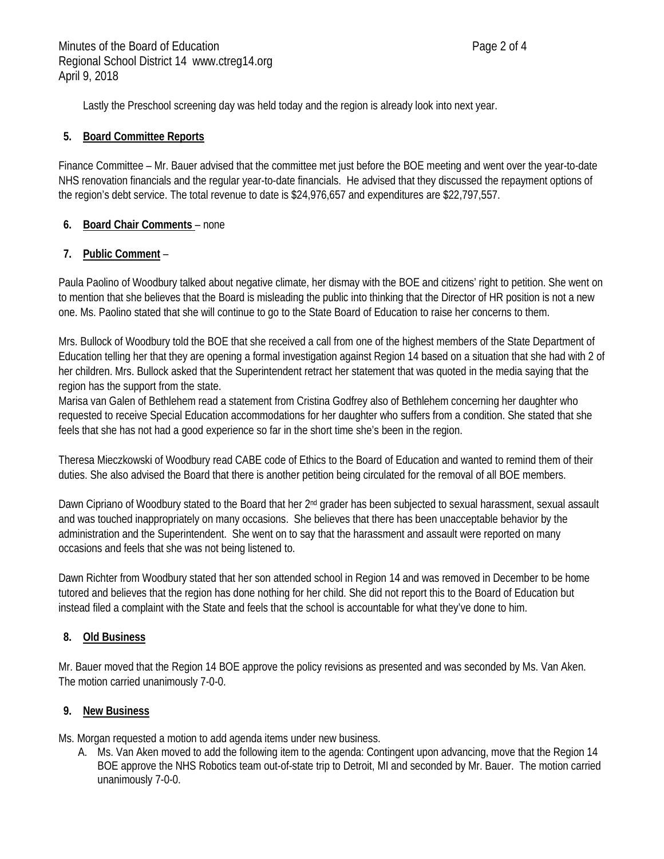Lastly the Preschool screening day was held today and the region is already look into next year.

### **5. Board Committee Reports**

Finance Committee – Mr. Bauer advised that the committee met just before the BOE meeting and went over the year-to-date NHS renovation financials and the regular year-to-date financials. He advised that they discussed the repayment options of the region's debt service. The total revenue to date is \$24,976,657 and expenditures are \$22,797,557.

# **6. Board Chair Comments** – none

# **7. Public Comment** –

Paula Paolino of Woodbury talked about negative climate, her dismay with the BOE and citizens' right to petition. She went on to mention that she believes that the Board is misleading the public into thinking that the Director of HR position is not a new one. Ms. Paolino stated that she will continue to go to the State Board of Education to raise her concerns to them.

Mrs. Bullock of Woodbury told the BOE that she received a call from one of the highest members of the State Department of Education telling her that they are opening a formal investigation against Region 14 based on a situation that she had with 2 of her children. Mrs. Bullock asked that the Superintendent retract her statement that was quoted in the media saying that the region has the support from the state.

Marisa van Galen of Bethlehem read a statement from Cristina Godfrey also of Bethlehem concerning her daughter who requested to receive Special Education accommodations for her daughter who suffers from a condition. She stated that she feels that she has not had a good experience so far in the short time she's been in the region.

Theresa Mieczkowski of Woodbury read CABE code of Ethics to the Board of Education and wanted to remind them of their duties. She also advised the Board that there is another petition being circulated for the removal of all BOE members.

Dawn Cipriano of Woodbury stated to the Board that her 2<sup>nd</sup> grader has been subjected to sexual harassment, sexual assault and was touched inappropriately on many occasions. She believes that there has been unacceptable behavior by the administration and the Superintendent. She went on to say that the harassment and assault were reported on many occasions and feels that she was not being listened to.

Dawn Richter from Woodbury stated that her son attended school in Region 14 and was removed in December to be home tutored and believes that the region has done nothing for her child. She did not report this to the Board of Education but instead filed a complaint with the State and feels that the school is accountable for what they've done to him.

### **8. Old Business**

Mr. Bauer moved that the Region 14 BOE approve the policy revisions as presented and was seconded by Ms. Van Aken. The motion carried unanimously 7-0-0.

# **9. New Business**

Ms. Morgan requested a motion to add agenda items under new business.

A. Ms. Van Aken moved to add the following item to the agenda: Contingent upon advancing, move that the Region 14 BOE approve the NHS Robotics team out-of-state trip to Detroit, MI and seconded by Mr. Bauer. The motion carried unanimously 7-0-0.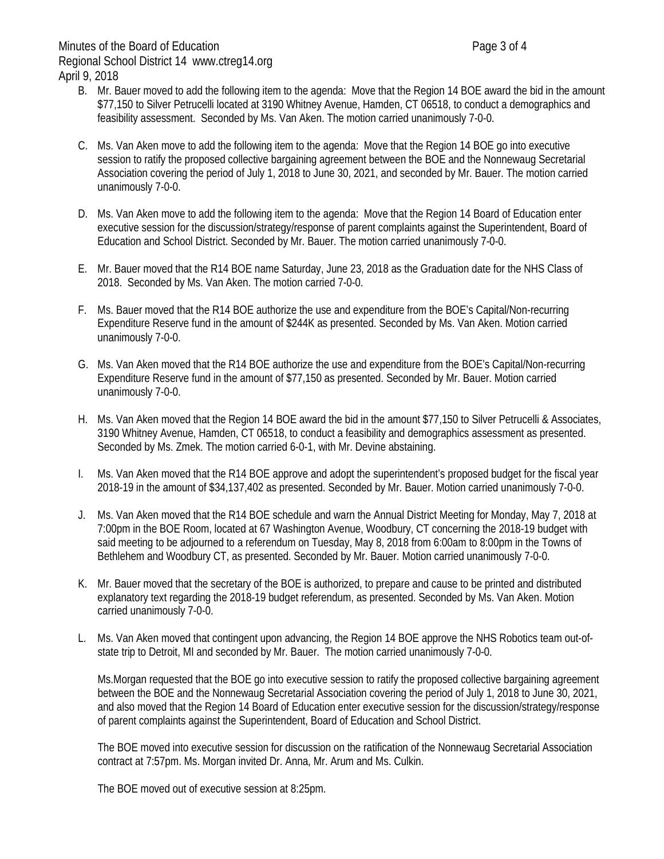- B. Mr. Bauer moved to add the following item to the agenda: Move that the Region 14 BOE award the bid in the amount \$77,150 to Silver Petrucelli located at 3190 Whitney Avenue, Hamden, CT 06518, to conduct a demographics and feasibility assessment. Seconded by Ms. Van Aken. The motion carried unanimously 7-0-0.
- C. Ms. Van Aken move to add the following item to the agenda: Move that the Region 14 BOE go into executive session to ratify the proposed collective bargaining agreement between the BOE and the Nonnewaug Secretarial Association covering the period of July 1, 2018 to June 30, 2021, and seconded by Mr. Bauer. The motion carried unanimously 7-0-0.
- D. Ms. Van Aken move to add the following item to the agenda: Move that the Region 14 Board of Education enter executive session for the discussion/strategy/response of parent complaints against the Superintendent, Board of Education and School District. Seconded by Mr. Bauer. The motion carried unanimously 7-0-0.
- E. Mr. Bauer moved that the R14 BOE name Saturday, June 23, 2018 as the Graduation date for the NHS Class of 2018. Seconded by Ms. Van Aken. The motion carried 7-0-0.
- F. Ms. Bauer moved that the R14 BOE authorize the use and expenditure from the BOE's Capital/Non-recurring Expenditure Reserve fund in the amount of \$244K as presented. Seconded by Ms. Van Aken. Motion carried unanimously 7-0-0.
- G. Ms. Van Aken moved that the R14 BOE authorize the use and expenditure from the BOE's Capital/Non-recurring Expenditure Reserve fund in the amount of \$77,150 as presented. Seconded by Mr. Bauer. Motion carried unanimously 7-0-0.
- H. Ms. Van Aken moved that the Region 14 BOE award the bid in the amount \$77,150 to Silver Petrucelli & Associates, 3190 Whitney Avenue, Hamden, CT 06518, to conduct a feasibility and demographics assessment as presented. Seconded by Ms. Zmek. The motion carried 6-0-1, with Mr. Devine abstaining.
- I. Ms. Van Aken moved that the R14 BOE approve and adopt the superintendent's proposed budget for the fiscal year 2018-19 in the amount of \$34,137,402 as presented. Seconded by Mr. Bauer. Motion carried unanimously 7-0-0.
- J. Ms. Van Aken moved that the R14 BOE schedule and warn the Annual District Meeting for Monday, May 7, 2018 at 7:00pm in the BOE Room, located at 67 Washington Avenue, Woodbury, CT concerning the 2018-19 budget with said meeting to be adjourned to a referendum on Tuesday, May 8, 2018 from 6:00am to 8:00pm in the Towns of Bethlehem and Woodbury CT, as presented. Seconded by Mr. Bauer. Motion carried unanimously 7-0-0.
- K. Mr. Bauer moved that the secretary of the BOE is authorized, to prepare and cause to be printed and distributed explanatory text regarding the 2018-19 budget referendum, as presented. Seconded by Ms. Van Aken. Motion carried unanimously 7-0-0.
- L. Ms. Van Aken moved that contingent upon advancing, the Region 14 BOE approve the NHS Robotics team out-ofstate trip to Detroit, MI and seconded by Mr. Bauer. The motion carried unanimously 7-0-0.

Ms.Morgan requested that the BOE go into executive session to ratify the proposed collective bargaining agreement between the BOE and the Nonnewaug Secretarial Association covering the period of July 1, 2018 to June 30, 2021, and also moved that the Region 14 Board of Education enter executive session for the discussion/strategy/response of parent complaints against the Superintendent, Board of Education and School District.

The BOE moved into executive session for discussion on the ratification of the Nonnewaug Secretarial Association contract at 7:57pm. Ms. Morgan invited Dr. Anna, Mr. Arum and Ms. Culkin.

The BOE moved out of executive session at 8:25pm.